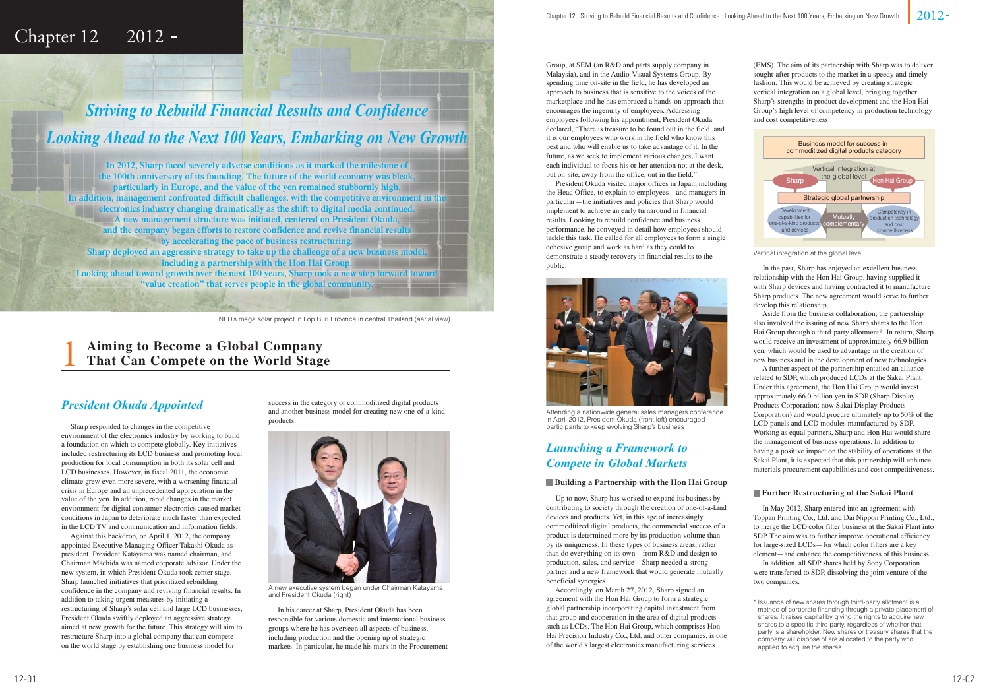

1

## Chapter  $12 \mid 2012 -$

## *Striving to Rebuild Financial Results and Confidence* **Looking Ahead to the Next 100 Years, Embarking on New Growth**

NED's mega-solar project in Lop Buri Province in central Thailand (aerial view) NED's mega solar project in Lop Buri Province in central Thaila

### *President Okuda Appointed*

**In 2012, Sharp faced severely adverse conditions as it marked the milestone of the 100th anniversary of its founding. The future of the world economy was bleak, particularly in Europe, and the value of the yen remained stubbornly high.** In addition, management confronted difficult challenges, with the competitive environment in the **electronics industry changing dramatically as the shift to digital media continued. A new management structure was initiated, centered on President Okuda, and the company began efforts to restore confidence and revive financial results by accelerating the pace of business restructuring. Sharp deployed an aggressive strategy to take up the challenge of a new business model, including a partnership with the Hon Hai Group. Looking ahead toward growth over the next 100 years, Sharp took a new step forward toward "value creation" that serves people in the global community.**

> In his career at Sharp, President Okuda has been responsible for various domestic and international business groups where he has overseen all aspects of business, including production and the opening up of strategic markets. In particular, he made his mark in the Procurement

## *Launching a Framework to Compete in Global Markets*

#### **Building a Partnership with the Hon Hai Group**

 Up to now, Sharp has worked to expand its business by contributing to society through the creation of one-of-a-kind devices and products. Yet, in this age of increasingly commoditized digital products, the commercial success of a product is determined more by its production volume than by its uniqueness. In these types of business areas, rather than do everything on its own—from R&D and design to production, sales, and service—Sharp needed a strong partner and a new framework that would generate mutually beneficial synergies.

 Accordingly, on March 27, 2012, Sharp signed an agreement with the Hon Hai Group to form a strategic global partnership incorporating capital investment from that group and cooperation in the area of digital products such as LCDs. The Hon Hai Group, which comprises Hon Hai Precision Industry Co., Ltd. and other companies, is one of the world's largest electronics manufacturing services

#### **Further Restructuring of the Sakai Plant**

 In May 2012, Sharp entered into an agreement with Toppan Printing Co., Ltd. and Dai Nippon Printing Co., Ltd., to merge the LCD color filter business at the Sakai Plant into SDP. The aim was to further improve operational efficiency for large-sized LCDs—for which color filters are a key element—and enhance the competitiveness of this business.

 In addition, all SDP shares held by Sony Corporation were transferred to SDP, dissolving the joint venture of the two companies.



A new executive system began under Chairman Katayama and President Okuda (right)

Group, at SEM (an R&D and parts supply company in Malaysia), and in the Audio-Visual Systems Group. By spending time on-site in the field, he has developed an approach to business that is sensitive to the voices of the marketplace and he has embraced a hands-on approach that encourages the ingenuity of employees. Addressing employees following his appointment, President Okuda declared, "There is treasure to be found out in the field, and it is our employees who work in the field who know this best and who will enable us to take advantage of it. In the future, as we seek to implement various changes, I want each individual to focus his or her attention not at the desk, but on-site, away from the office, out in the field."

 President Okuda visited major offices in Japan, including the Head Office, to explain to employees—and managers in particular—the initiatives and policies that Sharp would implement to achieve an early turnaround in financial results. Looking to rebuild confidence and business performance, he conveyed in detail how employees should tackle this task. He called for all employees to form a single cohesive group and work as hard as they could to demonstrate a steady recovery in financial results to the public.

**Aiming to Become a Global Company That Can Compete on the World Stage**

 Sharp responded to changes in the competitive environment of the electronics industry by working to build a foundation on which to compete globally. Key initiatives included restructuring its LCD business and promoting local production for local consumption in both its solar cell and LCD businesses. However, in fiscal 2011, the economic climate grew even more severe, with a worsening financial crisis in Europe and an unprecedented appreciation in the value of the yen. In addition, rapid changes in the market environment for digital consumer electronics caused market conditions in Japan to deteriorate much faster than expected in the LCD TV and communication and information fields.

 Against this backdrop, on April 1, 2012, the company appointed Executive Managing Officer Takashi Okuda as president. President Katayama was named chairman, and Chairman Machida was named corporate advisor. Under the new system, in which President Okuda took center stage, Sharp launched initiatives that prioritized rebuilding confidence in the company and reviving financial results. In addition to taking urgent measures by initiating a restructuring of Sharp's solar cell and large LCD businesses, President Okuda swiftly deployed an aggressive strategy aimed at new growth for the future. This strategy will aim to restructure Sharp into a global company that can compete on the world stage by establishing one business model for

success in the category of commoditized digital products and another business model for creating new one-of-a-kind products.



Attending a nationwide general sales managers conference in April 2012, President Okuda (front left) encouraged participants to keep evolving Sharp's business

#### Vertical integration at the global level

(EMS). The aim of its partnership with Sharp was to deliver sought-after products to the market in a speedy and timely fashion. This would be achieved by creating strategic vertical integration on a global level, bringing together Sharp's strengths in product development and the Hon Hai Group's high level of competency in production technology and cost competitiveness.

 In the past, Sharp has enjoyed an excellent business relationship with the Hon Hai Group, having supplied it with Sharp devices and having contracted it to manufacture Sharp products. The new agreement would serve to further develop this relationship.

 Aside from the business collaboration, the partnership also involved the issuing of new Sharp shares to the Hon Hai Group through a third-party allotment\*. In return, Sharp would receive an investment of approximately 66.9 billion yen, which would be used to advantage in the creation of new business and in the development of new technologies.

 A further aspect of the partnership entailed an alliance related to SDP, which produced LCDs at the Sakai Plant. Under this agreement, the Hon Hai Group would invest approximately 66.0 billion yen in SDP (Sharp Display Products Corporation; now Sakai Display Products Corporation) and would procure ultimately up to 50% of the LCD panels and LCD modules manufactured by SDP. Working as equal partners, Sharp and Hon Hai would share the management of business operations. In addition to having a positive impact on the stability of operations at the Sakai Plant, it is expected that this partnership will enhance materials procurement capabilities and cost competitiveness.



<sup>\*</sup> Issuance of new shares through third-party allotment is a method of corporate financing through a private placement of shares. It raises capital by giving the rights to acquire new shares to a specific third party, regardless of whether that party is a shareholder. New shares or treasury shares that the company will dispose of are allocated to the party who applied to acquire the shares.